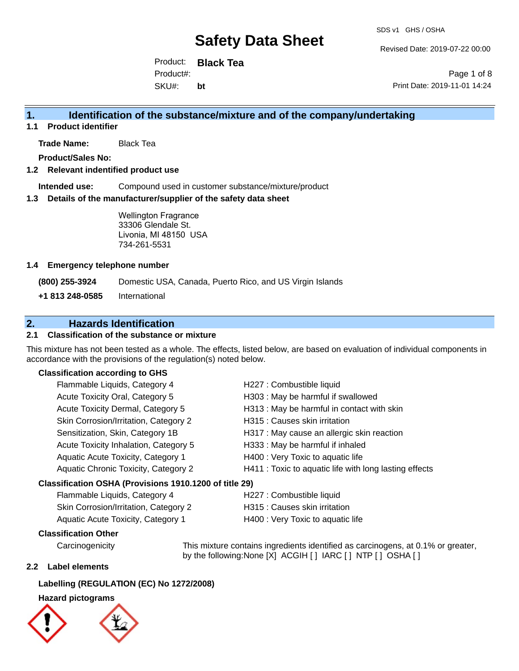Revised Date: 2019-07-22 00:00

Product: **Black Tea** SKU#: Product#: **bt**

Page 1 of 8 Print Date: 2019-11-01 14:24

### **1. Identification of the substance/mixture and of the company/undertaking**

**1.1 Product identifier**

**Trade Name:** Black Tea

**Product/Sales No:**

#### **1.2 Relevant indentified product use**

**Intended use:** Compound used in customer substance/mixture/product

#### **1.3 Details of the manufacturer/supplier of the safety data sheet**

Wellington Fragrance 33306 Glendale St. Livonia, MI 48150 USA 734-261-5531

#### **1.4 Emergency telephone number**

**(800) 255-3924** Domestic USA, Canada, Puerto Rico, and US Virgin Islands

**+1 813 248-0585** International

### **2. Hazards Identification**

#### **2.1 Classification of the substance or mixture**

This mixture has not been tested as a whole. The effects, listed below, are based on evaluation of individual components in accordance with the provisions of the regulation(s) noted below.

#### **Classification according to GHS**

| Flammable Liquids, Category 4                          | H227 : Combustible liquid                              |  |
|--------------------------------------------------------|--------------------------------------------------------|--|
| Acute Toxicity Oral, Category 5                        | H303 : May be harmful if swallowed                     |  |
| Acute Toxicity Dermal, Category 5                      | H313 : May be harmful in contact with skin             |  |
| Skin Corrosion/Irritation, Category 2                  | H315 : Causes skin irritation                          |  |
| Sensitization, Skin, Category 1B                       | H317 : May cause an allergic skin reaction             |  |
| Acute Toxicity Inhalation, Category 5                  | H333: May be harmful if inhaled                        |  |
| Aquatic Acute Toxicity, Category 1                     | H400 : Very Toxic to aquatic life                      |  |
| Aquatic Chronic Toxicity, Category 2                   | H411 : Toxic to aquatic life with long lasting effects |  |
| Classification OSHA (Provisions 1910.1200 of title 29) |                                                        |  |

| Flammable Liquids, Category 4         | H227 : Combustible liquid         |
|---------------------------------------|-----------------------------------|
| Skin Corrosion/Irritation, Category 2 | H315 : Causes skin irritation     |
| Aquatic Acute Toxicity, Category 1    | H400 : Very Toxic to aquatic life |

#### **Classification Other**

Carcinogenicity This mixture contains ingredients identified as carcinogens, at 0.1% or greater, by the following:None [X] ACGIH [] IARC [] NTP [] OSHA []

#### **2.2 Label elements**

#### **Labelling (REGULATION (EC) No 1272/2008)**

#### **Hazard pictograms**



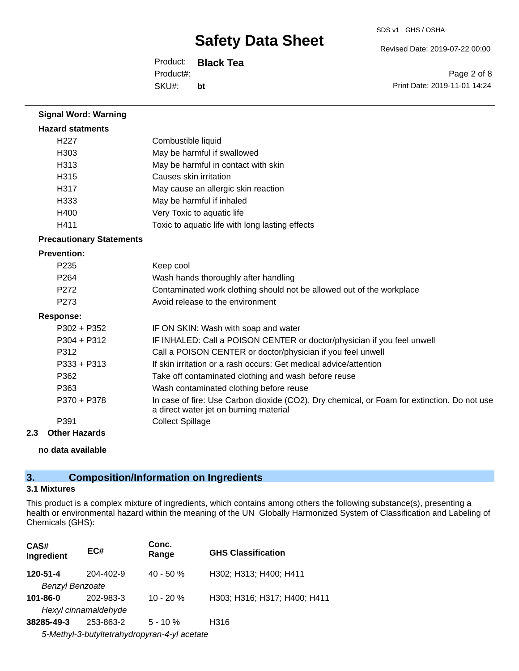Revised Date: 2019-07-22 00:00

Product: **Black Tea** SKU#: Product#: **bt**

Page 2 of 8 Print Date: 2019-11-01 14:24

| <b>Signal Word: Warning</b>     |                                                                                                                                       |
|---------------------------------|---------------------------------------------------------------------------------------------------------------------------------------|
| <b>Hazard statments</b>         |                                                                                                                                       |
| H <sub>227</sub>                | Combustible liquid                                                                                                                    |
| H <sub>303</sub>                | May be harmful if swallowed                                                                                                           |
| H313                            | May be harmful in contact with skin                                                                                                   |
| H315                            | Causes skin irritation                                                                                                                |
| H317                            | May cause an allergic skin reaction                                                                                                   |
| H333                            | May be harmful if inhaled                                                                                                             |
| H400                            | Very Toxic to aquatic life                                                                                                            |
| H411                            | Toxic to aquatic life with long lasting effects                                                                                       |
| <b>Precautionary Statements</b> |                                                                                                                                       |
| <b>Prevention:</b>              |                                                                                                                                       |
| P <sub>235</sub>                | Keep cool                                                                                                                             |
| P <sub>264</sub>                | Wash hands thoroughly after handling                                                                                                  |
| P <sub>272</sub>                | Contaminated work clothing should not be allowed out of the workplace                                                                 |
| P273                            | Avoid release to the environment                                                                                                      |
| <b>Response:</b>                |                                                                                                                                       |
| P302 + P352                     | IF ON SKIN: Wash with soap and water                                                                                                  |
| $P304 + P312$                   | IF INHALED: Call a POISON CENTER or doctor/physician if you feel unwell                                                               |
| P312                            | Call a POISON CENTER or doctor/physician if you feel unwell                                                                           |
| $P333 + P313$                   | If skin irritation or a rash occurs: Get medical advice/attention                                                                     |
| P362                            | Take off contaminated clothing and wash before reuse                                                                                  |
| P363                            | Wash contaminated clothing before reuse                                                                                               |
| P370 + P378                     | In case of fire: Use Carbon dioxide (CO2), Dry chemical, or Foam for extinction. Do not use<br>a direct water jet on burning material |
| P391                            | <b>Collect Spillage</b>                                                                                                               |
| <b>Other Hazards</b><br>2.3     |                                                                                                                                       |

#### **no data available**

### **3. Composition/Information on Ingredients**

### **3.1 Mixtures**

This product is a complex mixture of ingredients, which contains among others the following substance(s), presenting a health or environmental hazard within the meaning of the UN Globally Harmonized System of Classification and Labeling of Chemicals (GHS):

| CAS#<br>Ingredient                           | EC#       | Conc.<br>Range | <b>GHS Classification</b>    |  |
|----------------------------------------------|-----------|----------------|------------------------------|--|
| 120-51-4                                     | 204-402-9 | $40 - 50%$     | H302; H313; H400; H411       |  |
| <b>Benzyl Benzoate</b>                       |           |                |                              |  |
| 101-86-0                                     | 202-983-3 | $10 - 20%$     | H303; H316; H317; H400; H411 |  |
| Hexyl cinnamaldehyde                         |           |                |                              |  |
| 38285-49-3                                   | 253-863-2 | $5 - 10 \%$    | H316                         |  |
| 5-Methyl-3-butyltetrahydropyran-4-yl acetate |           |                |                              |  |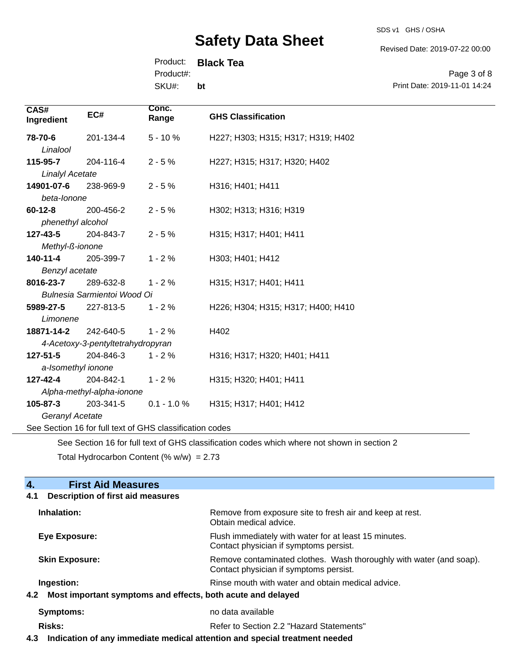SDS v1 GHS / OSHA

Revised Date: 2019-07-22 00:00

Print Date: 2019-11-01 14:24

Page 3 of 8

Product: **Black Tea**

Product#:

SKU#: **bt**

| CAS#<br>Ingredient     | EC#                               | Conc.<br>Range                                           | <b>GHS Classification</b>          |
|------------------------|-----------------------------------|----------------------------------------------------------|------------------------------------|
| 78-70-6                | 201-134-4                         | $5 - 10%$                                                | H227; H303; H315; H317; H319; H402 |
| Linalool               |                                   |                                                          |                                    |
| 115-95-7               | 204-116-4                         | $2 - 5%$                                                 | H227; H315; H317; H320; H402       |
| <b>Linalyl Acetate</b> |                                   |                                                          |                                    |
| 14901-07-6             | 238-969-9                         | $2 - 5%$                                                 | H316; H401; H411                   |
| beta-lonone            |                                   |                                                          |                                    |
| $60 - 12 - 8$          | 200-456-2                         | $2 - 5%$                                                 | H302; H313; H316; H319             |
| phenethyl alcohol      |                                   |                                                          |                                    |
| 127-43-5               | 204-843-7                         | $2 - 5%$                                                 | H315; H317; H401; H411             |
| Methyl-ß-ionone        |                                   |                                                          |                                    |
| 140-11-4               | 205-399-7                         | $1 - 2%$                                                 | H303; H401; H412                   |
| Benzyl acetate         |                                   |                                                          |                                    |
| 8016-23-7              | 289-632-8                         | $1 - 2%$                                                 | H315; H317; H401; H411             |
|                        | Bulnesia Sarmientoi Wood Oi       |                                                          |                                    |
| 5989-27-5              | 227-813-5                         | $1 - 2%$                                                 | H226; H304; H315; H317; H400; H410 |
| Limonene               |                                   |                                                          |                                    |
| 18871-14-2             | 242-640-5                         | $1 - 2%$                                                 | H402                               |
|                        | 4-Acetoxy-3-pentyltetrahydropyran |                                                          |                                    |
| $127 - 51 - 5$         | 204-846-3                         | $1 - 2%$                                                 | H316; H317; H320; H401; H411       |
|                        | a-Isomethyl ionone                |                                                          |                                    |
| $127 - 42 - 4$         | 204-842-1                         | $1 - 2%$                                                 | H315; H320; H401; H411             |
|                        | Alpha-methyl-alpha-ionone         |                                                          |                                    |
| 105-87-3               | 203-341-5                         | $0.1 - 1.0 %$                                            | H315; H317; H401; H412             |
| Geranyl Acetate        |                                   |                                                          |                                    |
|                        |                                   | See Section 16 for full text of GHS classification codes |                                    |

See Section 16 for full text of GHS classification codes which where not shown in section 2

Total Hydrocarbon Content (%  $w/w$ ) = 2.73

#### **4.** First Aid Measures<br>**4.1** Description of first aid meas **4.1 Description of first aid measures**

| Inhalation:                                                        | Remove from exposure site to fresh air and keep at rest.<br>Obtain medical advice.                            |  |
|--------------------------------------------------------------------|---------------------------------------------------------------------------------------------------------------|--|
| Eye Exposure:                                                      | Flush immediately with water for at least 15 minutes.<br>Contact physician if symptoms persist.               |  |
| <b>Skin Exposure:</b>                                              | Remove contaminated clothes. Wash thoroughly with water (and soap).<br>Contact physician if symptoms persist. |  |
| Ingestion:                                                         | Rinse mouth with water and obtain medical advice.                                                             |  |
| Most important symptoms and effects, both acute and delayed<br>4.2 |                                                                                                               |  |
| Symptoms:                                                          | no data available                                                                                             |  |
| <b>Risks:</b>                                                      | Refer to Section 2.2 "Hazard Statements"                                                                      |  |
|                                                                    |                                                                                                               |  |

**4.3 Indication of any immediate medical attention and special treatment needed**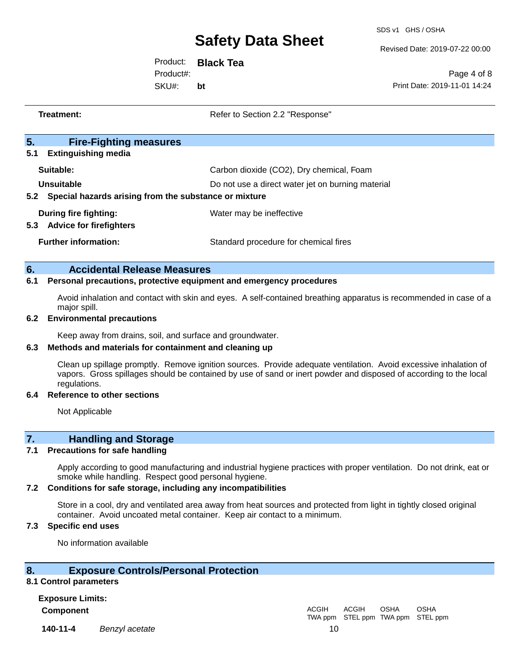SDS v1 GHS / OSHA

Revised Date: 2019-07-22 00:00

Product: **Black Tea** SKU#: Product#: **bt**

Page 4 of 8 Print Date: 2019-11-01 14:24

| Treatment:                                                                 | Refer to Section 2.2 "Response"                   |
|----------------------------------------------------------------------------|---------------------------------------------------|
| 5.<br><b>Fire-Fighting measures</b><br>5.1<br><b>Extinguishing media</b>   |                                                   |
| Suitable:                                                                  | Carbon dioxide (CO2), Dry chemical, Foam          |
| Unsuitable<br>Special hazards arising from the substance or mixture<br>5.2 | Do not use a direct water jet on burning material |
| During fire fighting:<br><b>Advice for firefighters</b><br>5.3             | Water may be ineffective                          |
| <b>Further information:</b>                                                | Standard procedure for chemical fires             |
| 6.<br><b>Accidental Release Measures</b>                                   |                                                   |

#### **6.1 Personal precautions, protective equipment and emergency procedures**

Avoid inhalation and contact with skin and eyes. A self-contained breathing apparatus is recommended in case of a major spill.

#### **6.2 Environmental precautions**

Keep away from drains, soil, and surface and groundwater.

#### **6.3 Methods and materials for containment and cleaning up**

Clean up spillage promptly. Remove ignition sources. Provide adequate ventilation. Avoid excessive inhalation of vapors. Gross spillages should be contained by use of sand or inert powder and disposed of according to the local regulations.

#### **6.4 Reference to other sections**

Not Applicable

### **7. Handling and Storage**

#### **7.1 Precautions for safe handling**

Apply according to good manufacturing and industrial hygiene practices with proper ventilation. Do not drink, eat or smoke while handling. Respect good personal hygiene.

#### **7.2 Conditions for safe storage, including any incompatibilities**

Store in a cool, dry and ventilated area away from heat sources and protected from light in tightly closed original container. Avoid uncoated metal container. Keep air contact to a minimum.

#### **7.3 Specific end uses**

No information available

#### **8. Exposure Controls/Personal Protection**

#### **8.1 Control parameters**

**Exposure Limits: Component** ACGIH

**140-11-4** *Benzyl acetate* 10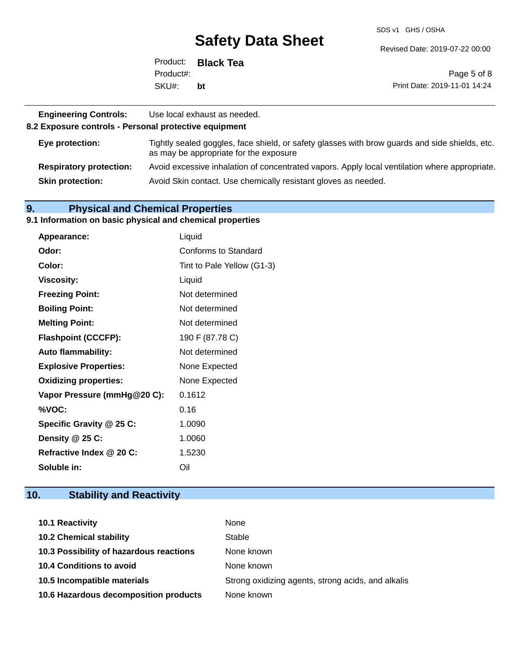SDS v1 GHS / OSHA

Revised Date: 2019-07-22 00:00

|           | Product: <b>Black Tea</b> |                              |
|-----------|---------------------------|------------------------------|
| Product#: |                           | Page 5 of 8                  |
| SKU#:     | bt                        | Print Date: 2019-11-01 14:24 |

| <b>Engineering Controls:</b><br>8.2 Exposure controls - Personal protective equipment | Use local exhaust as needed.                                                                                                             |
|---------------------------------------------------------------------------------------|------------------------------------------------------------------------------------------------------------------------------------------|
| Eye protection:                                                                       | Tightly sealed goggles, face shield, or safety glasses with brow guards and side shields, etc.<br>as may be appropriate for the exposure |
| <b>Respiratory protection:</b>                                                        | Avoid excessive inhalation of concentrated vapors. Apply local ventilation where appropriate.                                            |
| <b>Skin protection:</b>                                                               | Avoid Skin contact. Use chemically resistant gloves as needed.                                                                           |

### **9. Physical and Chemical Properties**

#### **9.1 Information on basic physical and chemical properties**

| Appearance:                  | Liquid                      |
|------------------------------|-----------------------------|
| Odor:                        | <b>Conforms to Standard</b> |
| Color:                       | Tint to Pale Yellow (G1-3)  |
| <b>Viscosity:</b>            | Liquid                      |
| <b>Freezing Point:</b>       | Not determined              |
| <b>Boiling Point:</b>        | Not determined              |
| <b>Melting Point:</b>        | Not determined              |
| <b>Flashpoint (CCCFP):</b>   | 190 F (87.78 C)             |
| <b>Auto flammability:</b>    | Not determined              |
| <b>Explosive Properties:</b> | None Expected               |
| <b>Oxidizing properties:</b> | None Expected               |
| Vapor Pressure (mmHg@20 C):  | 0.1612                      |
| %VOC:                        | 0.16                        |
| Specific Gravity @ 25 C:     | 1.0090                      |
| Density @ 25 C:              | 1.0060                      |
| Refractive Index @ 20 C:     | 1.5230                      |
| Soluble in:                  | Oil                         |

## **10. Stability and Reactivity**

| <b>10.1 Reactivity</b>                  | None                                               |
|-----------------------------------------|----------------------------------------------------|
| <b>10.2 Chemical stability</b>          | Stable                                             |
| 10.3 Possibility of hazardous reactions | None known                                         |
| 10.4 Conditions to avoid                | None known                                         |
| 10.5 Incompatible materials             | Strong oxidizing agents, strong acids, and alkalis |
| 10.6 Hazardous decomposition products   | None known                                         |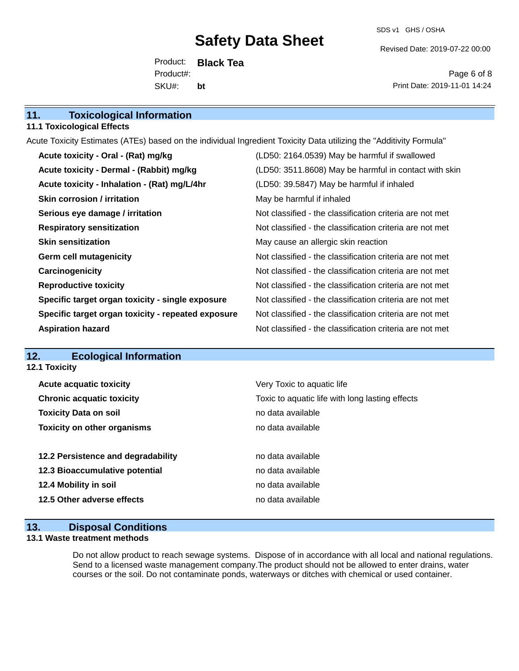SDS v1 GHS / OSHA

Revised Date: 2019-07-22 00:00

Product: **Black Tea** SKU#: Product#: **bt**

Page 6 of 8 Print Date: 2019-11-01 14:24

| 11.<br><b>Toxicological Information</b> |  |
|-----------------------------------------|--|
|-----------------------------------------|--|

#### **11.1 Toxicological Effects**

Acute Toxicity Estimates (ATEs) based on the individual Ingredient Toxicity Data utilizing the "Additivity Formula"

| Acute toxicity - Oral - (Rat) mg/kg                | (LD50: 2164.0539) May be harmful if swallowed            |
|----------------------------------------------------|----------------------------------------------------------|
| Acute toxicity - Dermal - (Rabbit) mg/kg           | (LD50: 3511.8608) May be harmful in contact with skin    |
| Acute toxicity - Inhalation - (Rat) mg/L/4hr       | (LD50: 39.5847) May be harmful if inhaled                |
| <b>Skin corrosion / irritation</b>                 | May be harmful if inhaled                                |
| Serious eye damage / irritation                    | Not classified - the classification criteria are not met |
| <b>Respiratory sensitization</b>                   | Not classified - the classification criteria are not met |
| <b>Skin sensitization</b>                          | May cause an allergic skin reaction                      |
| <b>Germ cell mutagenicity</b>                      | Not classified - the classification criteria are not met |
| Carcinogenicity                                    | Not classified - the classification criteria are not met |
| <b>Reproductive toxicity</b>                       | Not classified - the classification criteria are not met |
| Specific target organ toxicity - single exposure   | Not classified - the classification criteria are not met |
| Specific target organ toxicity - repeated exposure | Not classified - the classification criteria are not met |
| <b>Aspiration hazard</b>                           | Not classified - the classification criteria are not met |

### **12. Ecological Information**

**12.1 Toxicity**

| <b>Acute acquatic toxicity</b>     | Very Toxic to aquatic life                      |
|------------------------------------|-------------------------------------------------|
| <b>Chronic acquatic toxicity</b>   | Toxic to aquatic life with long lasting effects |
| <b>Toxicity Data on soil</b>       | no data available                               |
| <b>Toxicity on other organisms</b> | no data available                               |
|                                    |                                                 |
|                                    |                                                 |
| 12.2 Persistence and degradability | no data available                               |
| 12.3 Bioaccumulative potential     | no data available                               |
| 12.4 Mobility in soil              | no data available                               |
| 12.5 Other adverse effects         | no data available                               |

### **13. Disposal Conditions**

#### **13.1 Waste treatment methods**

Do not allow product to reach sewage systems. Dispose of in accordance with all local and national regulations. Send to a licensed waste management company.The product should not be allowed to enter drains, water courses or the soil. Do not contaminate ponds, waterways or ditches with chemical or used container.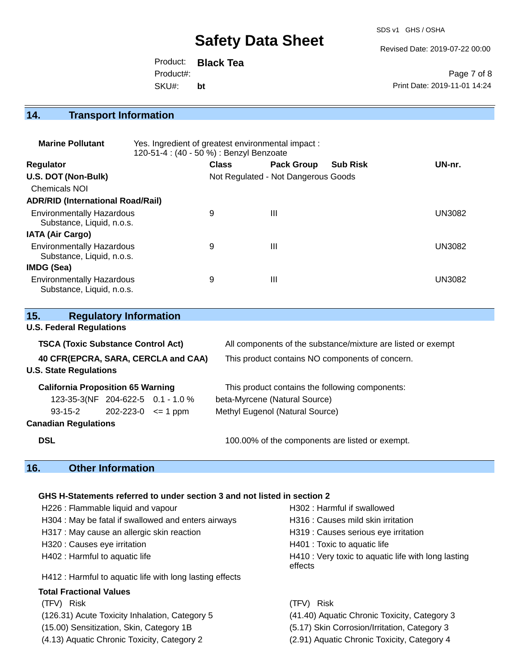SDS v1 GHS / OSHA

Revised Date: 2019-07-22 00:00

Page 7 of 8

Print Date: 2019-11-01 14:24 Product: **Black Tea** SKU#: Product#: **bt**

**14. Transport Information** 

| <b>Marine Pollutant</b>                                       | Yes. Ingredient of greatest environmental impact:<br>120-51-4 : (40 - 50 %) : Benzyl Benzoate |              |                   |                 |               |
|---------------------------------------------------------------|-----------------------------------------------------------------------------------------------|--------------|-------------------|-----------------|---------------|
| <b>Regulator</b>                                              |                                                                                               | <b>Class</b> | <b>Pack Group</b> | <b>Sub Risk</b> | UN-nr.        |
| U.S. DOT (Non-Bulk)                                           | Not Regulated - Not Dangerous Goods                                                           |              |                   |                 |               |
| <b>Chemicals NOI</b>                                          |                                                                                               |              |                   |                 |               |
| <b>ADR/RID (International Road/Rail)</b>                      |                                                                                               |              |                   |                 |               |
| <b>Environmentally Hazardous</b><br>Substance, Liquid, n.o.s. |                                                                                               | 9            | Ш                 |                 | <b>UN3082</b> |
| <b>IATA (Air Cargo)</b>                                       |                                                                                               |              |                   |                 |               |
| <b>Environmentally Hazardous</b><br>Substance, Liquid, n.o.s. |                                                                                               | 9            | Ш                 |                 | <b>UN3082</b> |
| IMDG (Sea)                                                    |                                                                                               |              |                   |                 |               |
| <b>Environmentally Hazardous</b><br>Substance, Liquid, n.o.s. |                                                                                               | 9            | Ш                 |                 | <b>UN3082</b> |

| 15.                                       | <b>Regulatory Information</b> |                                                              |
|-------------------------------------------|-------------------------------|--------------------------------------------------------------|
| <b>U.S. Federal Regulations</b>           |                               |                                                              |
| <b>TSCA (Toxic Substance Control Act)</b> |                               | All components of the substance/mixture are listed or exempt |
| 40 CFR(EPCRA, SARA, CERCLA and CAA)       |                               | This product contains NO components of concern.              |
| <b>U.S. State Regulations</b>             |                               |                                                              |
| <b>California Proposition 65 Warning</b>  |                               | This product contains the following components:              |
| 123-35-3(NF 204-622-5 0.1 - 1.0 %         |                               | beta-Myrcene (Natural Source)                                |
| 93-15-2                                   | $202 - 223 - 0 \leq 1$ ppm    | Methyl Eugenol (Natural Source)                              |
| <b>Canadian Regulations</b>               |                               |                                                              |
| <b>DSL</b>                                |                               | 100.00% of the components are listed or exempt.              |
| 16.                                       | <b>Other Information</b>      |                                                              |

### **GHS H-Statements referred to under section 3 and not listed in section 2**

| H226 : Flammable liquid and vapour                       | H302: Harmful if swallowed                                     |
|----------------------------------------------------------|----------------------------------------------------------------|
| H304 : May be fatal if swallowed and enters airways      | H316 : Causes mild skin irritation                             |
| H317 : May cause an allergic skin reaction               | H319 : Causes serious eye irritation                           |
| H320 : Causes eye irritation                             | H401 : Toxic to aquatic life                                   |
| H402 : Harmful to aquatic life                           | H410 : Very toxic to aquatic life with long lasting<br>effects |
| H412 : Harmful to aquatic life with long lasting effects |                                                                |
| <b>Total Fractional Values</b>                           |                                                                |
| (TFV) Risk                                               | Risk<br>(TFV) –                                                |
| (126.31) Acute Toxicity Inhalation, Category 5           | (41.40) Aquatic Chronic Toxicity, Category 3                   |
| (15.00) Sensitization, Skin, Category 1B                 | (5.17) Skin Corrosion/Irritation, Category 3                   |
| (4.13) Aquatic Chronic Toxicity, Category 2              | (2.91) Aquatic Chronic Toxicity, Category 4                    |